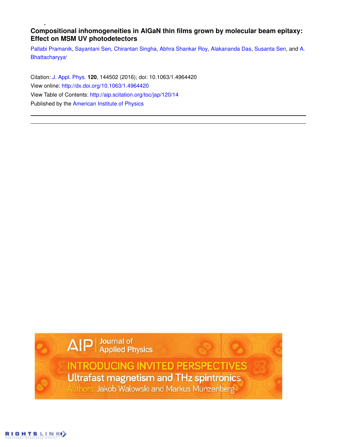# **Compositional inhomogeneities in AlGaN thin films grown by molecular beam epitaxy: Effect on MSM UV photodetectors**

Pallabi Pramanik, Sayantani Sen, Chirantan Singha, Abhra Shankar Roy, Alakananda Das, Susanta Sen, and A. Bhattacharyya,

Citation: J. Appl. Phys. **120**, 144502 (2016); doi: 10.1063/1.4964420 View online: http://dx.doi.org/10.1063/1.4964420 View Table of Contents: http://aip.scitation.org/toc/jap/120/14 Published by the American Institute of Physics

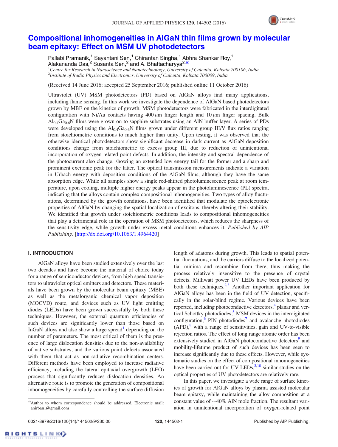

## Compositional inhomogeneities in AlGaN thin films grown by molecular beam epitaxy: Effect on MSM UV photodetectors

Pallabi Pramanik,<sup>1</sup> Sayantani Sen,<sup>1</sup> Chirantan Singha,<sup>1</sup> Abhra Shankar Roy,<sup>1</sup> Alakananda Das, <sup>2</sup> Susanta Sen, <sup>2</sup> and A. Bhattacharyya<sup>2,a)</sup>

 ${}^{1}$ Centre for Research in Nanoscience and Nanotechnology, University of Calcutta, Kolkata 700106, India 2 Institute of Radio Physics and Electronics, University of Calcutta, Kolkata 700009, India

(Received 14 June 2016; accepted 25 September 2016; published online 11 October 2016)

Ultraviolet (UV) MSM photodetectors (PD) based on AlGaN alloys find many applications, including flame sensing. In this work we investigate the dependence of AlGaN based photodetectors grown by MBE on the kinetics of growth. MSM photodetectors were fabricated in the interdigitated configuration with Ni/Au contacts having  $400 \mu m$  finger length and  $10 \mu m$  finger spacing. Bulk  $Al<sub>0.4</sub>Ga<sub>0.6</sub>N$  films were grown on to sapphire substrates using an AlN buffer layer. A series of PDs were developed using the  $Al_{0.4}Ga_{0.6}N$  films grown under different group III/V flux ratios ranging from stoichiometric conditions to much higher than unity. Upon testing, it was observed that the otherwise identical photodetectors show significant decrease in dark current as AlGaN deposition conditions change from stoichiometric to excess group III, due to reduction of unintentional incorporation of oxygen-related point defects. In addition, the intensity and spectral dependence of the photocurrent also change, showing an extended low energy tail for the former and a sharp and prominent excitonic peak for the latter. The optical transmission measurements indicate a variation in Urbach energy with deposition conditions of the AlGaN films, although they have the same absorption edge. While all samples show a single red-shifted photoluminescence peak at room temperature, upon cooling, multiple higher energy peaks appear in the photoluminescence (PL) spectra, indicating that the alloys contain complex compositional inhomogeneities. Two types of alloy fluctuations, determined by the growth conditions, have been identified that modulate the optoelectronic properties of AlGaN by changing the spatial localization of excitons, thereby altering their stability. We identified that growth under stoichiometric conditions leads to compositional inhomogeneities that play a detrimental role in the operation of MSM photodetectors, which reduces the sharpness of the sensitivity edge, while growth under excess metal conditions enhances it. Published by AIP Publishing. [http://dx.doi.org/10.1063/1.4964420]

## I. INTRODUCTION

AlGaN alloys have been studied extensively over the last two decades and have become the material of choice today for a range of semiconductor devices, from high speed transistors to ultraviolet optical emitters and detectors. These materials have been grown by the molecular beam epitaxy (MBE) as well as the metalorganic chemical vapor deposition (MOCVD) route, and devices such as UV light emitting diodes (LEDs) have been grown successfully by both these techniques. However, the external quantum efficiencies of such devices are significantly lower than those based on InGaN alloys and also show a large spread<sup>1</sup> depending on the number of parameters. The most critical of them is the presence of large dislocation densities due to the non-availability of native substrates, and the various point defects associated with them that act as non-radiative recombination centers. Different methods have been employed to increase radiative efficiency, including the lateral epitaxial overgrowth (LEO) process that significantly reduces dislocation densities. An alternative route is to promote the generation of compositional inhomogeneities by carefully controlling the surface diffusion length of adatoms during growth. This leads to spatial potential fluctuations, and the carriers diffuse to the localized potential minima and recombine from there, thus making the process relatively insensitive to the presence of crystal defects. Milliwatt power UV LEDs have been produced by both these techniques. $2,3$  Another important application for AlGaN alloys has been in the field of UV detection, specifically in the solar-blind regime. Various devices have been reported, including photoconductive detectors,<sup>4</sup> planar and vertical Schottky photodiodes,<sup>5</sup> MSM devices in the interdigitated configuration,  $\overline{6}$  PIN photodiodes<sup>7</sup> and avalanche photodiodes  $(APD)<sup>8</sup>$  with a range of sensitivities, gain and UV-to-visible rejection ratios. The effect of long range atomic order has been extensively studied in AlGaN photoconductive detectors<sup>9</sup> and mobility-lifetime product of such devices has been seen to increase significantly due to these effects. However, while systematic studies on the effect of compositional inhomogeneities have been carried out for UV LEDs,  $3,10$  similar studies on the optical properties of UV photodetectors are relatively rare.

In this paper, we investigate a wide range of surface kinetics of growth for AlGaN alloys by plasma assisted molecular beam epitaxy, while maintaining the alloy composition at a constant value of  $\sim$ 40% AlN mole fraction. The resultant variation in unintentional incorporation of oxygen-related point

a)Author to whom correspondence should be addressed. Electronic mail: anirban1@gmail.com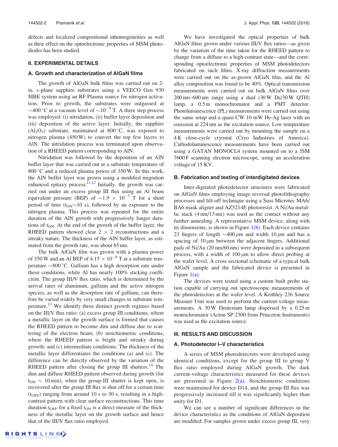defects and localized compositional inhomogeneities as well as their effect on the optoelectronic properties of MSM photodiodes has been studied.

#### II. EXPERIMENTAL DETAILS

## A. Growth and characterization of AlGaN films

The growth of AlGaN bulk films was carried out on 2 in. c-plane sapphire substrates using a VEECO Gen 930 MBE system using an RF Plasma source for nitrogen activation. Prior to growth, the substrates were outgassed at  $\sim$ 400 °C at a vacuum level of  $\sim$ 10<sup>-9</sup> T. A three step process was employed: (i) nitridation, (ii) buffer layer deposition and (iii) deposition of the active layer. Initially, the sapphire  $(Al<sub>2</sub>O<sub>3</sub>)$  substrate, maintained at 800 $^{\circ}$ C, was exposed to nitrogen plasma (450 W) to convert the top few layers to AlN. The nitridation process was terminated upon observation of a RHEED pattern corresponding to AlN.

Nitridation was followed by the deposition of an AlN buffer layer that was carried out at a substrate temperature of 800 °C and a reduced plasma power of  $350$ W. In this work, the AlN buffer layer was grown using a modified migration enhanced epitaxy process.<sup>11,12</sup> Initially, the growth was carried out under an excess group III flux using an Al beam equivalent pressure (BEP) of  $\sim 1.9 \times 10^{-7}$  T for a short period of time  $(t_{ON} \sim 10 \text{ s})$ , followed by an exposure to the nitrogen plasma. This process was repeated for the entire duration of the AlN growth with progressively longer durations of  $t<sub>ON</sub>$ . At the end of the growth of the buffer layer, the RHEED pattern showed clear  $2 \times 2$  reconstructions and a streaky nature. The thickness of the AlN buffer layer, as estimated from the growth rate, was about 65 nm.

The bulk AlGaN film was grown with a plasma power of 350 W and an Al BEP of  $4.15 \times 10^{-8}$  T at a substrate temperature  $\sim$ 800 °C. Gallium has a high desorption rate under these conditions, while Al has nearly 100% sticking coefficient. The group III/V flux ratio, which is determined by the arrival rates of aluminum, gallium and the active nitrogen species, as well as the desorption rate of gallium, can therefore be varied widely by very small changes in substrate temperature.<sup>13</sup> We identify three distinct growth regimes based on the III/V flux ratio: (a) excess group III conditions, where a metallic layer on the growth surface is formed that causes the RHEED pattern to become dim and diffuse due to scattering of the electron beam; (b) stoichiometric conditions, where the RHEED pattern is bright and streaky during growth; and (c) intermediate conditions. The thickness of the metallic layer differentiates the conditions (a) and (c). The difference can be directly observed by the variation of the RHEED pattern after closing the group III shutters.<sup>14</sup> The dim and diffuse RHEED pattern observed during growth (for  $t_{ON} \sim 10 \text{ min}$ , when the group-III shutter is kept open, is recovered after the group III flux is shut off for a certain time  $(t<sub>OFF</sub>)$  ranging from around 10 s to 30 s, resulting in a highcontrast pattern with clear surface reconstructions. This time duration t<sub>OFF</sub> for a fixed t<sub>ON</sub> is a direct measure of the thickness of the metallic layer on the growth surface and hence that of the III/V flux ratio employed.

We have investigated the optical properties of bulk AlGaN films grown under various III/V flux ratios—as given by the variation of the time taken for the RHEED pattern to change from a diffuse to a high-contrast state—and the corresponding optoelectronic properties of MSM photodetectors fabricated on such films. X-ray diffraction measurements were carried out on the as-grown AlGaN film, and the Al alloy composition was found to be 40%. Optical transmission measurements were carried out on bulk AlGaN films over 200 nm–600 nm range using a dual (30W De/30W QTH) lamp, a  $0.5 \text{ m}$  monochromator and a PMT detector. Photoluminescence (PL) measurements were carried out using the same setup and a quasi-CW 10 mW He-Ag laser with an emission at 224 nm as the excitation source. Low temperature measurements were carried out by mounting the sample on a 4 K close-cycle cryostat (Cryo Industries of America). Cathodoluminescence measurements have been carried out using a GATAN MONOCL4 system mounted on to a JSM 7600 F scanning electron microscope, using an acceleration voltage of 15 KV.

#### B. Fabrication and testing of interdigitated devices

Inter-digitated photodetector structures were fabricated on AlGaN films employing image reversal photolithography processes and lift-off technique using a Suss Microtec MA6/ BA6 mask aligner and AZ5214E photoresist. A Ni/Au metallic stack (4 nm/13 nm) was used as the contact without any further annealing. A representative MSM device, along with its dimensions, is shown in Figure  $1(b)$ . Each device contains 23 fingers of length  $\sim$  400  $\mu$ m and width 10  $\mu$ m and has a spacing of  $10 \mu m$  between the adjacent fingers. Additional pads of Ni/Au (20 nm/60 nm) were deposited in a subsequent process, with a width of  $100 \mu m$  to allow direct probing at the wafer level. A cross sectional schematic of a typical bulk AlGaN sample and the fabricated device is presented in Figure 1(a).

The devices were tested using a custom built probe station capable of carrying out spectroscopic measurements of the photodetectors at the wafer level. A Keithley 236 Source Measure Unit was used to perform the current-voltage measurements. A 30W Deuterium lamp dispersed by a 0.25 m monochromator (Acton SP 2300 from Princeton Instruments) was used as the excitation source.

### III. RESULTS AND DISCUSSION

#### A. Photodetector I–V characteristics

A series of MSM photodetectors were developed using identical conditions, except for the group III to group V flux ratio employed during AlGaN growth. The dark current-voltage characteristics measured for these devices are presented in Figure  $2(a)$ . Stoichiometric conditions were maintained for device D14, and the group III flux was progressively increased till it was significantly higher than unity for D1.

We can see a number of significant differences in the device characteristics as the conditions of AlGaN deposition are modified. For samples grown under excess group III, very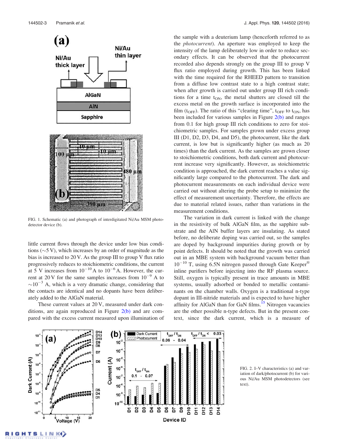

FIG. 1. Schematic (a) and photograph of interdigitated Ni/Au MSM photodetector device (b).

little current flows through the device under low bias conditions  $(\sim 5 \text{ V})$ , which increases by an order of magnitude as the bias is increased to 20 V. As the group III to group V flux ratio progressively reduces to stoichiometric conditions, the current at 5 V increases from  $10^{-10}$  A to  $10^{-6}$  A. However, the current at 20 V for the same samples increases from  $10^{-9}$  A to  $\sim$ 10<sup>-3</sup> A, which is a very dramatic change, considering that the contacts are identical and no dopants have been deliberately added to the AlGaN material.

These current values at 20 V, measured under dark conditions, are again reproduced in Figure  $2(b)$  and are compared with the excess current measured upon illumination of the sample with a deuterium lamp (henceforth referred to as the photocurrent). An aperture was employed to keep the intensity of the lamp deliberately low in order to reduce secondary effects. It can be observed that the photocurrent recorded also depends strongly on the group III to group V flux ratio employed during growth. This has been linked with the time required for the RHEED pattern to transition from a diffuse low contrast state to a high contrast state; when after growth is carried out under group III rich conditions for a time  $t_{ON}$ , the metal shutters are closed till the excess metal on the growth surface is incorporated into the film ( $t_{\text{OFF}}$ ). The ratio of this "clearing time",  $t_{\text{OFF}}$  to  $t_{\text{ON}}$ , has been included for various samples in Figure 2(b) and ranges from 0.1 for high group III rich conditions to zero for stoichiometric samples. For samples grown under excess group III (D1, D2, D3, D4, and D5), the photocurrent, like the dark current, is low but is significantly higher (as much as 20 times) than the dark current. As the samples are grown closer to stoichiometric conditions, both dark current and photocurrent increase very significantly. However, as stoichiometric condition is approached, the dark current reaches a value significantly large compared to the photocurrent. The dark and photocurrent measurements on each individual device were carried out without altering the probe setup to minimize the effect of measurement uncertainty. Therefore, the effects are due to material related issues, rather than variations in the measurement conditions.

The variation in dark current is linked with the change in the resistivity of bulk AlGaN film, as the sapphire substrate and the AlN buffer layers are insulating. As stated before, no deliberate doping was carried out, so the samples are doped by background impurities during growth or by point defects. It should be noted that the growth was carried out in an MBE system with background vacuum better than  $10^{-10}$  T, using 6.5N nitrogen passed through Gate Keeper<sup>®</sup> inline purifiers before injecting into the RF plasma source. Still, oxygen is typically present in trace amounts in MBE systems, usually adsorbed or bonded to metallic contaminants on the chamber walls. Oxygen is a traditional n-type dopant in III-nitride materials and is expected to have higher affinity for AlGaN than for GaN films.<sup>15</sup> Nitrogen vacancies are the other possible n-type defects. But in the present context, since the dark current, which is a measure of



FIG. 2. I–V characteristics (a) and variation of dark/photocurrent (b) for various Ni/Au MSM photodetectors (see text).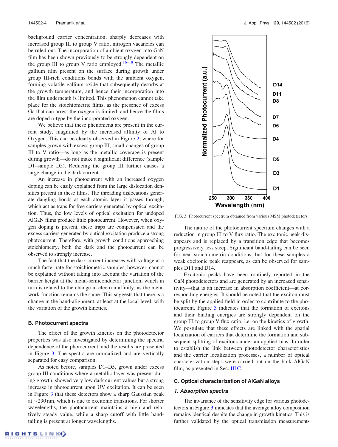background carrier concentration, sharply decreases with increased group III to group V ratio, nitrogen vacancies can be ruled out. The incorporation of ambient oxygen into GaN film has been shown previously to be strongly dependent on the group III to group V ratio employed.<sup>16–18</sup> The metallic gallium film present on the surface during growth under group III-rich conditions bonds with the ambient oxygen, forming volatile gallium oxide that subsequently desorbs at the growth temperature, and hence their incorporation into the film underneath is limited. This phenomenon cannot take place for the stoichiometric films, as the presence of excess Ga that can arrest the oxygen is limited, and hence the films are doped n-type by the incorporated oxygen.

We believe that these phenomena are present in the current study, magnified by the increased affinity of Al to Oxygen. This can be clearly observed in Figure 2, where for samples grown with excess group III, small changes of group III to V ratio—as long as the metallic coverage is present during growth—do not make a significant difference (sample D1–sample D5). Reducing the group III further causes a large change in the dark current.

An increase in photocurrent with an increased oxygen doping can be easily explained from the large dislocation densities present in these films. The threading dislocations generate dangling bonds at each atomic layer it passes through, which act as traps for free carriers generated by optical excitation. Thus, the low levels of optical excitation for undoped AlGaN films produce little photocurrent. However, when oxygen doping is present, these traps are compensated and the excess carriers generated by optical excitation produce a strong photocurrent. Therefore, with growth conditions approaching stoichiometry, both the dark and the photocurrent can be observed to strongly increase.

The fact that the dark current increases with voltage at a much faster rate for stoichiometric samples, however, cannot be explained without taking into account the variation of the barrier height at the metal-semiconductor junction, which in turn is related to the change in electron affinity, as the metal work-function remains the same. This suggests that there is a change in the band-alignment, at least at the local level, with the variation of the growth kinetics.

#### B. Photocurrent spectra

The effect of the growth kinetics on the photodetector properties was also investigated by determining the spectral dependence of the photocurrent, and the results are presented in Figure 3. The spectra are normalized and are vertically separated for easy comparison.

As noted before, samples D1–D5, grown under excess group III conditions where a metallic layer was present during growth, showed very low dark current values but a strong increase in photocurrent upon UV excitation. It can be seen in Figure 3 that these detectors show a sharp Gaussian peak at  $\sim$ 290 nm, which is due to excitonic transitions. For shorter wavelengths, the photocurrent maintains a high and relatively steady value, while a sharp cutoff with little bandtailing is present at longer wavelengths.



FIG. 3. Photocurrent spectrum obtained from various MSM photodetectors.

The nature of the photocurrent spectrum changes with a reduction in group III to V flux ratio. The excitonic peak disappears and is replaced by a transition edge that becomes progressively less steep. Significant band-tailing can be seen for near-stoichiometric conditions, but for these samples a weak excitonic peak reappears, as can be observed for samples D11 and D14.

Excitonic peaks have been routinely reported in the GaN photodetectors and are generated by an increased sensitivity—that is an increase in absorption coefficient—at corresponding energies. It should be noted that the exciton must be split by the applied field in order to contribute to the photocurrent. Figure 3 indicates that the formation of excitons and their binding energies are strongly dependent on the group III to group V flux ratio, i.e. on the kinetics of growth. We postulate that these effects are linked with the spatial localization of carriers that determine the formation and subsequent splitting of excitons under an applied bias. In order to establish the link between photodetector characteristics and the carrier localization processes, a number of optical characterization steps were carried out on the bulk AlGaN film, as presented in Sec. III C.

#### C. Optical characterization of AlGaN alloys

#### 1. Absorption spectra

The invariance of the sensitivity edge for various photodetectors in Figure 3 indicates that the average alloy composition remains identical despite the change in growth kinetics. This is further validated by the optical transmission measurements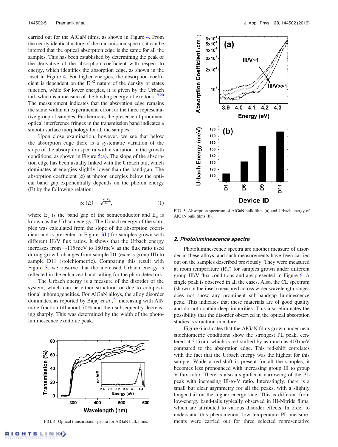carried out for the AlGaN films, as shown in Figure 4. From the nearly identical nature of the transmission spectra, it can be inferred that the optical absorption edge is the same for all the samples. This has been established by determining the peak of the derivative of the absorption coefficient with respect to energy, which identifies the absorption edge, as shown in the inset in Figure 4. For higher energies, the absorption coefficient is dependent on the  $E^{1/2}$  nature of the density of states function, while for lower energies, it is given by the Urbach tail, which is a measure of the binding energy of excitons.<sup>19,20</sup> The measurement indicates that the absorption edge remains the same within an experimental error for the three representative group of samples. Furthermore, the presence of prominent optical interference fringes in the transmission band indicates a smooth surface morphology for all the samples.

Upon close examination, however, we see that below the absorption edge there is a systematic variation of the slope of the absorption spectra with a variation in the growth conditions, as shown in Figure  $5(a)$ . The slope of the absorption edge has been usually linked with the Urbach tail, which dominates at energies slightly lower than the band-gap. The absorption coefficient  $(\alpha)$  at photon energies below the optical band gap exponentially depends on the photon energy (E) by the following relation:

$$
\propto (E) = e^{\frac{E-E_g}{E_u}},\tag{1}
$$

where  $E_g$  is the band gap of the semiconductor and  $E_u$  is known as the Urbach energy. The Urbach energy of the samples was calculated from the slope of the absorption coefficient and is presented in Figure  $5(b)$  for samples grown with different III/V flux ratios. It shows that the Urbach energy increases from  $\sim$ 115 meV to 180 meV as the flux ratio used during growth changes from sample D1 (excess group III) to sample D11 (stoichiometric). Comparing this result with Figure 3, we observe that the increased Urbach energy is reflected in the enhanced band-tailing for the photodetectors.

The Urbach energy is a measure of the disorder of the system, which can be either structural or due to compositional inhomogeneities. For AlGaN alloys, the alloy disorder dominates, as reported by Bajaj et  $al$ ,  $^{21}$  increasing with AlN mole fraction till about 70% and then subsequently decreasing sharply. This was determined by the width of the photoluminescence excitonic peak.





FIG. 5. Absorption spectrum of AlGaN bulk films (a) and Urbach energy of AlGaN bulk films (b).

#### 2. Photoluminescence spectra

Photoluminescence spectra are another measure of disorder in these alloys, and such measurements have been carried out on the samples described previously. They were measured at room temperature (RT) for samples grown under different group III/V flux conditions and are presented in Figure 6. A single peak is observed in all the cases. Also, the CL spectrum (shown in the inset) measured across wider wavelength ranges does not show any prominent sub-bandgap luminescence peak. This indicates that these materials are of good quality and do not contain deep impurities. This also eliminates the possibility that the disorder observed in the optical absorption studies is structural in nature.

Figure 6 indicates that the AlGaN films grown under near stoichiometric conditions show the strongest PL peak, centered at 315 nm, which is red-shifted by as much as 400 meV compared to the absorption edge. This red-shift correlates with the fact that the Urbach energy was the highest for this sample. While a red-shift is present for all the samples, it becomes less pronounced with increasing group III to group V flux ratio. There is also a significant narrowing of the PL peak with increasing III-to-V ratio. Interestingly, there is a small but clear asymmetry for all the peaks, with a slightly longer tail on the higher energy side. This is different from low-energy band-tails typically observed in III-Nitride films, which are attributed to various disorder effects. In order to understand this phenomenon, low temperature PL measure-FIG. 4. Optical transmission spectra for AlGaN bulk films. ments were carried out for three selected representative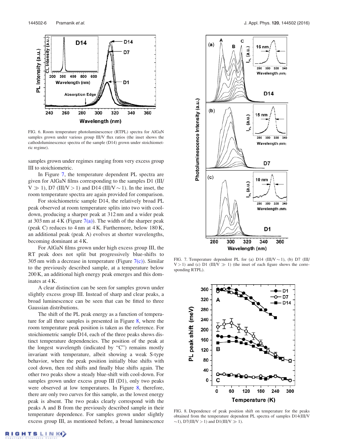

FIG. 6. Room temperature photoluminescence (RTPL) spectra for AlGaN samples grown under various group III/V flux ratios (the inset shows the cathodoluminescence spectra of the sample (D14) grown under stoichiometric regime).

samples grown under regimes ranging from very excess group III to stoichiometric.

In Figure 7, the temperature dependent PL spectra are given for AlGaN films corresponding to the samples D1 (III/  $V \gg 1$ ), D7 (III/V > 1) and D14 (III/V  $\sim$  1). In the inset, the room temperature spectra are again provided for comparison.

For stoichiometric sample D14, the relatively broad PL peak observed at room temperature splits into two with cooldown, producing a sharper peak at 312 nm and a wider peak at 303 nm at 4 K (Figure  $7(a)$ ). The width of the sharper peak (peak C) reduces to 4 nm at 4 K. Furthermore, below 180 K, an additional peak (peak A) evolves at shorter wavelengths, becoming dominant at 4 K.

For AlGaN films grown under high excess group III, the RT peak does not split but progressively blue-shifts to 305 nm with a decrease in temperature (Figure  $7(c)$ ). Similar to the previously described sample, at a temperature below 200 K, an additional high energy peak emerges and this dominates at 4 K.

A clear distinction can be seen for samples grown under slightly excess group III. Instead of sharp and clear peaks, a broad luminescence can be seen that can be fitted to three Gaussian distributions.

The shift of the PL peak energy as a function of temperature for all three samples is presented in Figure 8, where the room temperature peak position is taken as the reference. For stoichiometric sample D14, each of the three peaks shows distinct temperature dependencies. The position of the peak at the longest wavelength (indicated by "C") remains mostly invariant with temperature, albeit showing a weak S-type behavior, where the peak position initially blue shifts with cool down, then red shifts and finally blue shifts again. The other two peaks show a steady blue-shift with cool-down. For samples grown under excess group III (D1), only two peaks were observed at low temperatures. In Figure 8, therefore, there are only two curves for this sample, as the lowest energy peak is absent. The two peaks clearly correspond with the peaks A and B from the previously described sample in their temperature dependence. For samples grown under slightly excess group III, as mentioned before, a broad luminescence



FIG. 7. Temperature dependent PL for (a) D14 (III/V  $\sim$  1), (b) D7 (III/  $V > 1$ ) and (c) D1 (III/V  $\gg 1$ ) (the inset of each figure shows the corresponding RTPL).



FIG. 8. Dependence of peak position shift on temperature for the peaks obtained from the temperature dependent PL spectra of samples D14(III/V  $\sim$ 1), D7(III/V > 1) and D1(III/V  $\gg$  1).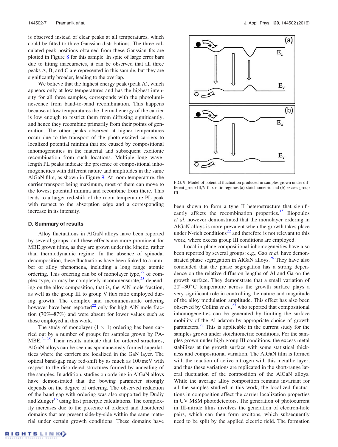is observed instead of clear peaks at all temperatures, which could be fitted to three Gaussian distributions. The three calculated peak positions obtained from these Gaussian fits are plotted in Figure 8 for this sample. In spite of large error bars due to fitting inaccuracies, it can be observed that all three peaks A, B, and C are represented in this sample, but they are significantly broader, leading to the overlap.

We believe that the highest energy peak (peak A), which appears only at low temperatures and has the highest intensity for all three samples, corresponds with the photoluminescence from band-to-band recombination. This happens because at low temperatures the thermal energy of the carrier is low enough to restrict them from diffusing significantly, and hence they recombine primarily from their points of generation. The other peaks observed at higher temperatures occur due to the transport of the photo-excited carriers to localized potential minima that are caused by compositional inhomogeneities in the material and subsequent excitonic recombination from such locations. Multiple long wavelength PL peaks indicate the presence of compositional inhomogeneities with different nature and amplitudes in the same AlGaN film, as shown in Figure 9. At room temperature, the carrier transport being maximum, most of them can move to the lowest potential minima and recombine from there. This leads to a larger red-shift of the room temperature PL peak with respect to the absorption edge and a corresponding increase in its intensity.

#### D. Summary of results

Alloy fluctuations in AlGaN alloys have been reported by several groups, and these effects are more prominent for MBE grown films, as they are grown under the kinetic, rather than thermodynamic regime. In the absence of spinodal decomposition, these fluctuations have been linked to a number of alloy phenomena, including a long range atomic ordering. This ordering can be of monolayer type, $2^2$  of complex type, or may be completely incommensurate,<sup>23</sup> depending on the alloy composition, that is, the AlN mole fraction, as well as the group III to group V flux ratio employed during growth. The complex and incommensurate ordering however have been reported $^{22}$  only for high AlN mole fraction (70%–87%) and were absent for lower values such as those employed in this work.

The study of monolayer  $(1 \times 1)$  ordering has been carried out by a number of groups for samples grown by PA- $MBE.<sup>24,25</sup>$  Their results indicate that for ordered structures, AlGaN alloys can be seen as spontaneously formed superlattices where the carriers are localized in the GaN layer. The optical band-gap may red-shift by as much as 100 meV with respect to the disordered structures formed by annealing of the samples. In addition, studies on ordering in AlGaN alloys have demonstrated that the bowing parameter strongly depends on the degree of ordering. The observed reduction of the band gap with ordering was also supported by Dudiy and Zunger<sup>16</sup> using first principle calculations. The complexity increases due to the presence of ordered and disordered domains that are present side-by-side within the same material under certain growth conditions. These domains have



FIG. 9. Model of potential fluctuation produced in samples grown under different group III/V flux ratio regimes (a) stoichiometric and (b) excess group III.

been shown to form a type II heterostructure that significantly affects the recombination properties.<sup>15</sup> Iliopoulos et al. however demonstrated that the monolayer ordering in AlGaN alloys is more prevalent when the growth takes place under N-rich conditions<sup>22</sup> and therefore is not relevant to this work, where excess group III conditions are employed.

Local in-plane compositional inhomogeneities have also been reported by several groups: e.g., Gao et al. have demonstrated phase segregation in AlGaN alloys.<sup>26</sup> They have also concluded that the phase segregation has a strong dependence on the relative diffusion lengths of Al and Ga on the growth surface. They demonstrate that a small variation of  $20^{\circ}$ –30 $^{\circ}$ C temperature across the growth surface plays a very significant role in controlling the nature and magnitude of the alloy modulation amplitude. This effect has also been observed by Collins et  $al.^{27}$  who reported that compositional inhomogeneities can be generated by limiting the surface mobility of the Al adatom by appropriate choice of growth parameters.<sup>27</sup> This is applicable in the current study for the samples grown under stoichiometric conditions. For the samples grown under high group III conditions, the excess metal stabilizes at the growth surface with some statistical thickness and compositional variation. The AlGaN film is formed with the reaction of active nitrogen with this metallic layer, and thus these variations are replicated in the short-range lateral fluctuation of the composition of the AlGaN alloys. While the average alloy composition remains invariant for all the samples studied in this work, the localized fluctuations in composition affect the carrier localization properties in UV MSM photodetectors. The generation of photocurrent in III-nitride films involves the generation of electron-hole pairs, which can then form excitons, which subsequently need to be split by the applied electric field. The formation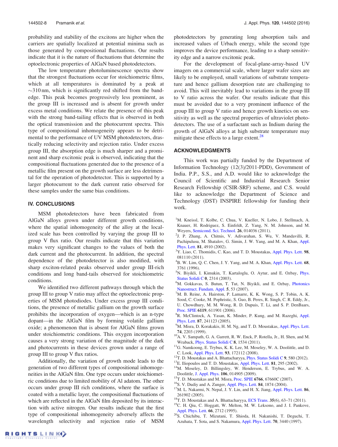probability and stability of the excitons are higher when the carriers are spatially localized at potential minima such as those generated by compositional fluctuations. Our results indicate that it is the nature of fluctuations that determine the optoelectronic properties of AlGaN based photodetectors.

The low temperature photoluminescence spectra show that the strongest fluctuations occur for stoichiometric films, which at all temperatures is dominated by a peak at  $\sim$ 310 nm, which is significantly red shifted from the bandedge. This peak becomes progressively less prominent, as the group III is increased and is absent for growth under excess metal conditions. We relate the presence of this peak with the strong band-tailing effects that is observed in both the optical transmission and the photocurrent spectra. This type of compositional inhomogeneity appears to be detrimental to the performance of UV MSM photodetectors, drastically reducing selectivity and rejection ratio. Under excess group III, the absorption edge is much sharper and a prominent and sharp excitonic peak is observed, indicating that the compositional fluctuations generated due to the presence of a metallic film present on the growth surface are less detrimental for the operation of photodetector. This is supported by a larger photocurrent to the dark current ratio observed for these samples under the same bias conditions.

#### IV. CONCLUSIONS

MSM photodetectors have been fabricated from AlGaN alloys grown under different growth conditions, where the spatial inhomogeneity of the alloy at the localized scale has been controlled by varying the group III to group V flux ratio. Our results indicate that this variation makes very significant changes to the values of both the dark current and the photocurrent. In addition, the spectral dependence of the photodetector is also modified, with sharp exciton-related peaks observed under group III-rich conditions and long band-tails observed for stoichiometric conditions.

We identified two different pathways through which the group III to group V ratio may affect the optoelectronic properties of MSM photodiodes. Under excess group III conditions, the presence of metallic gallium on the growth surface prohibits the incorporation of oxygen—which is an n-type dopant—in the AlGaN film by forming volatile gallium oxide; a phenomenon that is absent for AlGaN films grown under stoichiometric conditions. This oxygen incorporation causes a very strong variation of the magnitude of the dark and photocurrents in these devices grown under a range of group III to group V flux ratios.

Additionally, the variation of growth mode leads to the generation of two different types of compositional inhomogeneities in the AlGaN film. One type occurs under stoichiometric conditions due to limited mobility of Al adatom. The other occurs under group III rich conditions, where the surface is coated with a metallic layer, the compositional fluctuations of which are reflected in the AlGaN film deposited by its interaction with active nitrogen. Our results indicate that the first type of compositional inhomogeneity adversely affects the wavelength selectivity and rejection ratio of MSM photodetectors by generating long absorption tails and increased values of Urbach energy, while the second type improves the device performance, leading to a sharp sensitivity edge and a narrow excitonic peak.

For the development of focal-plane-array-based UV imagers on a commercial scale, where larger wafer sizes are likely to be employed, small variations of substrate temperature and hence gallium desorption rate are challenging to avoid. This will inevitably lead to variations in the group III to V ratio across the wafer. Our results indicate that this must be avoided due to a very prominent influence of the group III to group V ratio and hence growth kinetics on sensitivity as well as the spectral properties of ultraviolet photodetectors. The use of a surfactant such as Indium during the growth of AlGaN alloys at high substrate temperature may mitigate these effects to a large extent.<sup>28</sup>

#### ACKNOWLEDGMENTS

This work was partially funded by the Department of Information Technology (12(3)/2011-PDD), Government of India. P.P., S.S., and A.D. would like to acknowledge the Council of Scientific and Industrial Research Senior Research Fellowship (CSIR-SRF) scheme, and C.S. would like to acknowledge the Department of Science and Technology (DST) INSPIRE fellowship for funding their work.

- <sup>1</sup>M. Kneissl, T. Kolbe, C. Chua, V. Kueller, N. Lobo, J. Stellmach, A. Knauer, H. Rodriguez, S. Einfeldt, Z. Yang, N. M. Johnson, and M. Weyers, Semicond. Sci. Technol. 26, 014036 (2011).
- 2 J. P. Zhang, A. Chitnis, V. Adivarahan, S. Wu, V. Mandavilli, R. Pachipulusu, M. Shatalov, G. Simin, J. W. Yang, and M. A. Khan, Appl. Phys. Lett. 81, 4910 (2002).
- <sup>3</sup>Y. Liao, C. Thomidis, C. Kao, and T. D. Moustakas, Appl. Phys. Lett. 98, 081110 (2011).
- ${}^{4}$ B. W. Lim, Q. C. Chen, J. Y. Yang, and M. A. Khan, Appl. Phys. Lett. 68, 3761 (1996).
- <sup>5</sup>N. Biyikli, I. Kimukin, T. Kartaloglu, O. Aytur, and E. Ozbay, *Phys.* Status Solidi C 0, 2314 (2003).
- <sup>6</sup>M. Gokkavas, S. Butun, T. Tut, N. Biyikli, and E. Ozbay, *Photonics* Nanostruct. Fundam. Appl. 5, 53 (2007).
- <sup>7</sup>M. B. Reine, A. Hairston, P. Lamarre, K. K. Wong, S. P. Tobin, A. K. Sood, C. Cooke, M. Pophristic, S. Guo, B. Peres, R. Singh, C. R. Eddy, Jr., U. Chowdhury, M. M. Wong, R. D. Dupuis, T. Li, and S. P. DenBaars, Proc. SPIE 6119, 611901 (2006).
- <sup>8</sup>R. McClintock, A. Yasan, K. Minder, P. Kung, and M. Razeghi, Appl. Phys. Lett. 87, 241123 (2005).
- <sup>9</sup>M. Misra, D. Korakakis, H. M. Ng, and T. D. Moustakas, Appl. Phys. Lett. 74, 2203 (1999).
- <sup>10</sup>A. V. Sampath, G. A. Garrett, R. W. Enck, P. Rotella, Jr., H. Shen, and M. Wraback, Phys. Status Solidi C 8, 1534 (2011).
- <sup>11</sup>G. Namkoong, E. Trybus, K. K. Lee, M. Moseley, W. A. Doolittle, and D. C. Look, Appl. Phys. Lett. 93, 172112 (2008).
- <sup>12</sup>T. D. Moustakas and A. Bhattacharyya, *Phys. Status Solidi* C 9, 580 (2012).
- <sup>13</sup>E. Iliopoulos and T. D. Moustakas, Appl. Phys. Lett. **81**, 295 (2002).
- <sup>14</sup>M. Moseley, D. Billingsley, W. Henderson, E. Trybus, and W. A. Doolittle, J. Appl. Phys. 106, 014905 (2009).
- <sup>15</sup>T. D. Moustakas and M. Misra, Proc. SPIE 6766, 67660C (2007).
- <sup>16</sup>S. V. Dudiy and A. Zunger, Appl. Phys. Lett. **84**, 1874 (2004).
- <sup>17</sup>M. L. Nakarmi, N. Nepal, J. Y. Lin, and H. X. Jiang, Appl. Phys. Lett. 86, 261902 (2005).
- $18$ T. D. Moustakas and A. Bhattacharyya, ECS Trans. 35(6), 63-71 (2011).
- $19^{\circ}$ C. H. Qiu, C. Hoggatt, W. Melton, M. W. Leksono, and J. I. Pankove, Appl. Phys. Lett. 66, 2712 (1995).
- <sup>20</sup>S. Chichibu, T. Mizutani, T. Shioda, H. Nakanishi, T. Deguchi, T. Azuhata, T. Sota, and S. Nakamura, Appl. Phys. Lett. 70, 3440 (1997).